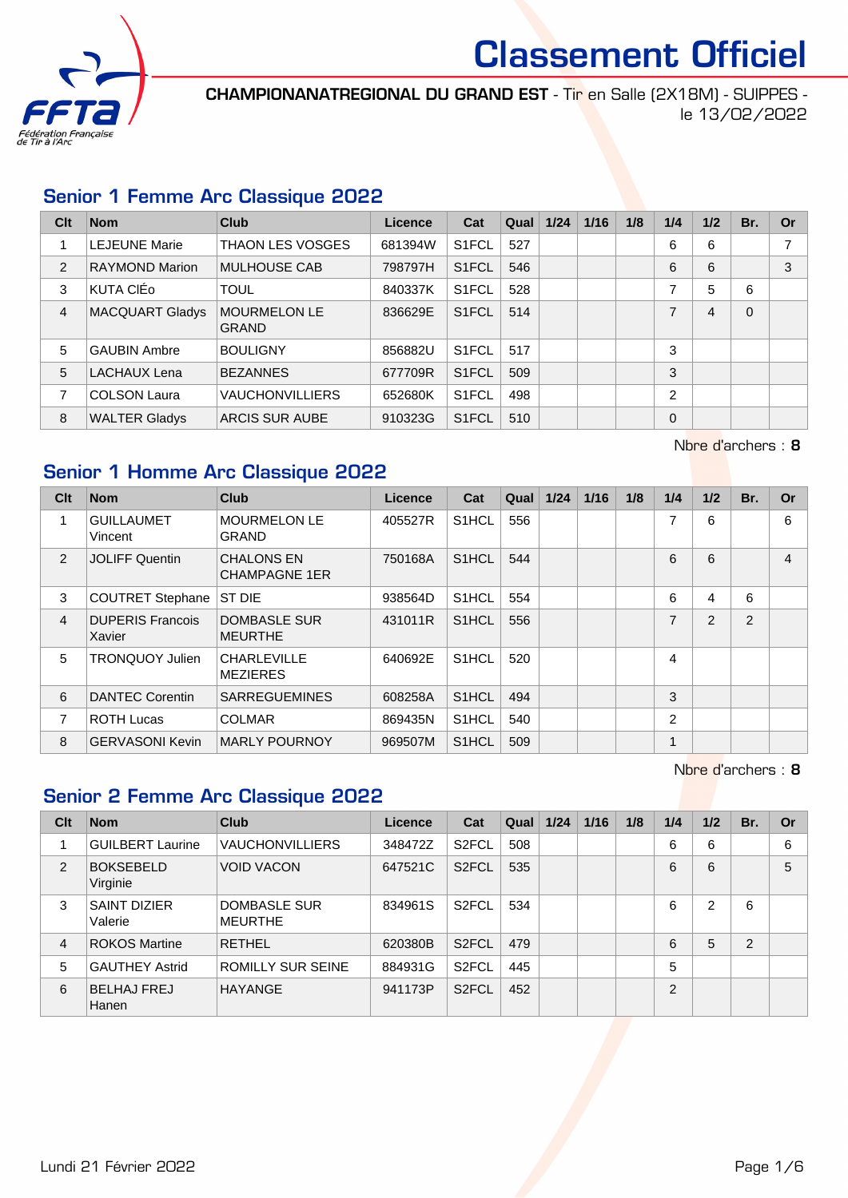

CHAMPIONANATREGIONAL DU GRAND EST - Tir en Salle (2X18M) - SUIPPES le 13/02/2022

#### Senior 1 Femme Arc Classique 2022

| Clt            | <b>Nom</b>             | Club                                | Licence | Cat                | Qual | 1/24 | 1/16 | 1/8 | 1/4            | 1/2            | Br.      | <b>Or</b>      |
|----------------|------------------------|-------------------------------------|---------|--------------------|------|------|------|-----|----------------|----------------|----------|----------------|
|                | <b>LEJEUNE Marie</b>   | <b>THAON LES VOSGES</b>             | 681394W | S <sub>1</sub> FCL | 527  |      |      |     | 6              | 6              |          | $\overline{ }$ |
| $\overline{2}$ | <b>RAYMOND Marion</b>  | <b>MULHOUSE CAB</b>                 | 798797H | S <sub>1</sub> FCL | 546  |      |      |     | 6              | 6              |          | 3              |
| 3              | KUTA CIÉO              | <b>TOUL</b>                         | 840337K | S <sub>1</sub> FCL | 528  |      |      |     | 7              | 5              | 6        |                |
| $\overline{4}$ | <b>MACQUART Gladys</b> | <b>MOURMELON LE</b><br><b>GRAND</b> | 836629E | S <sub>1</sub> FCL | 514  |      |      |     | 7              | $\overline{4}$ | $\Omega$ |                |
| 5              | <b>GAUBIN Ambre</b>    | <b>BOULIGNY</b>                     | 856882U | S <sub>1</sub> FCL | 517  |      |      |     | 3              |                |          |                |
| 5              | LACHAUX Lena           | <b>BEZANNES</b>                     | 677709R | S <sub>1</sub> FCL | 509  |      |      |     | 3              |                |          |                |
| 7              | <b>COLSON Laura</b>    | <b>VAUCHONVILLIERS</b>              | 652680K | S <sub>1</sub> FCL | 498  |      |      |     | $\overline{2}$ |                |          |                |
| 8              | <b>WALTER Gladys</b>   | ARCIS SUR AUBE                      | 910323G | S <sub>1</sub> FCL | 510  |      |      |     | $\Omega$       |                |          |                |

Nbre d'archers : 8

### Senior 1 Homme Arc Classique 2022

| Clt            | <b>Nom</b>                        | <b>Club</b>                               | <b>Licence</b> | Cat                | Qual | $1/24$ | 1/16 | 1/8 | 1/4            | 1/2 | Br. | <b>Or</b>      |
|----------------|-----------------------------------|-------------------------------------------|----------------|--------------------|------|--------|------|-----|----------------|-----|-----|----------------|
| 1              | <b>GUILLAUMET</b><br>Vincent      | <b>MOURMELON LE</b><br><b>GRAND</b>       | 405527R        | S <sub>1</sub> HCL | 556  |        |      |     | 7              | 6   |     | 6              |
| 2              | <b>JOLIFF Quentin</b>             | <b>CHALONS EN</b><br><b>CHAMPAGNE 1ER</b> | 750168A        | S <sub>1</sub> HCL | 544  |        |      |     | 6              | 6   |     | $\overline{4}$ |
| 3              | <b>COUTRET Stephane</b>           | ST DIE                                    | 938564D        | S <sub>1</sub> HCL | 554  |        |      |     | 6              | 4   | 6   |                |
| $\overline{4}$ | <b>DUPERIS Francois</b><br>Xavier | DOMBASLE SUR<br>MEURTHE                   | 431011R        | S <sub>1</sub> HCL | 556  |        |      |     | 7              | 2   | 2   |                |
| 5              | <b>TRONQUOY Julien</b>            | <b>CHARLEVILLE</b><br>MEZIERES            | 640692E        | S <sub>1</sub> HCL | 520  |        |      |     | 4              |     |     |                |
| 6              | DANTEC Corentin                   | <b>SARREGUEMINES</b>                      | 608258A        | S <sub>1</sub> HCL | 494  |        |      |     | 3              |     |     |                |
| 7              | <b>ROTH Lucas</b>                 | <b>COLMAR</b>                             | 869435N        | S <sub>1</sub> HCL | 540  |        |      |     | $\overline{2}$ |     |     |                |
| 8              | <b>GERVASONI Kevin</b>            | <b>MARLY POURNOY</b>                      | 969507M        | S <sub>1</sub> HCL | 509  |        |      |     | 1              |     |     |                |

Nbre d'archers : 8

# Senior 2 Femme Arc Classique 2022

| Clt            | <b>Nom</b>                     | Club                           | Licence | Cat                | Qual | 1/24 | 1/16 | 1/8 | 1/4            | 1/2 | Br.            | Or |
|----------------|--------------------------------|--------------------------------|---------|--------------------|------|------|------|-----|----------------|-----|----------------|----|
|                | <b>GUILBERT Laurine</b>        | <b>VAUCHONVILLIERS</b>         | 348472Z | S <sub>2</sub> FCL | 508  |      |      |     | 6              | 6   |                | 6  |
| 2              | <b>BOKSEBELD</b><br>Virginie   | <b>VOID VACON</b>              | 647521C | S <sub>2</sub> FCL | 535  |      |      |     | 6              | 6   |                | 5  |
| 3              | <b>SAINT DIZIER</b><br>Valerie | DOMBASLE SUR<br><b>MEURTHE</b> | 834961S | S <sub>2</sub> FCL | 534  |      |      |     | 6              | 2   | 6              |    |
| $\overline{4}$ | <b>ROKOS Martine</b>           | <b>RETHEL</b>                  | 620380B | S <sub>2</sub> FCL | 479  |      |      |     | 6              | 5   | $\overline{2}$ |    |
| 5              | <b>GAUTHEY Astrid</b>          | <b>ROMILLY SUR SEINE</b>       | 884931G | S <sub>2</sub> FCL | 445  |      |      |     | 5              |     |                |    |
| 6              | <b>BELHAJ FREJ</b><br>Hanen    | <b>HAYANGE</b>                 | 941173P | S <sub>2</sub> FCL | 452  |      |      |     | $\mathfrak{p}$ |     |                |    |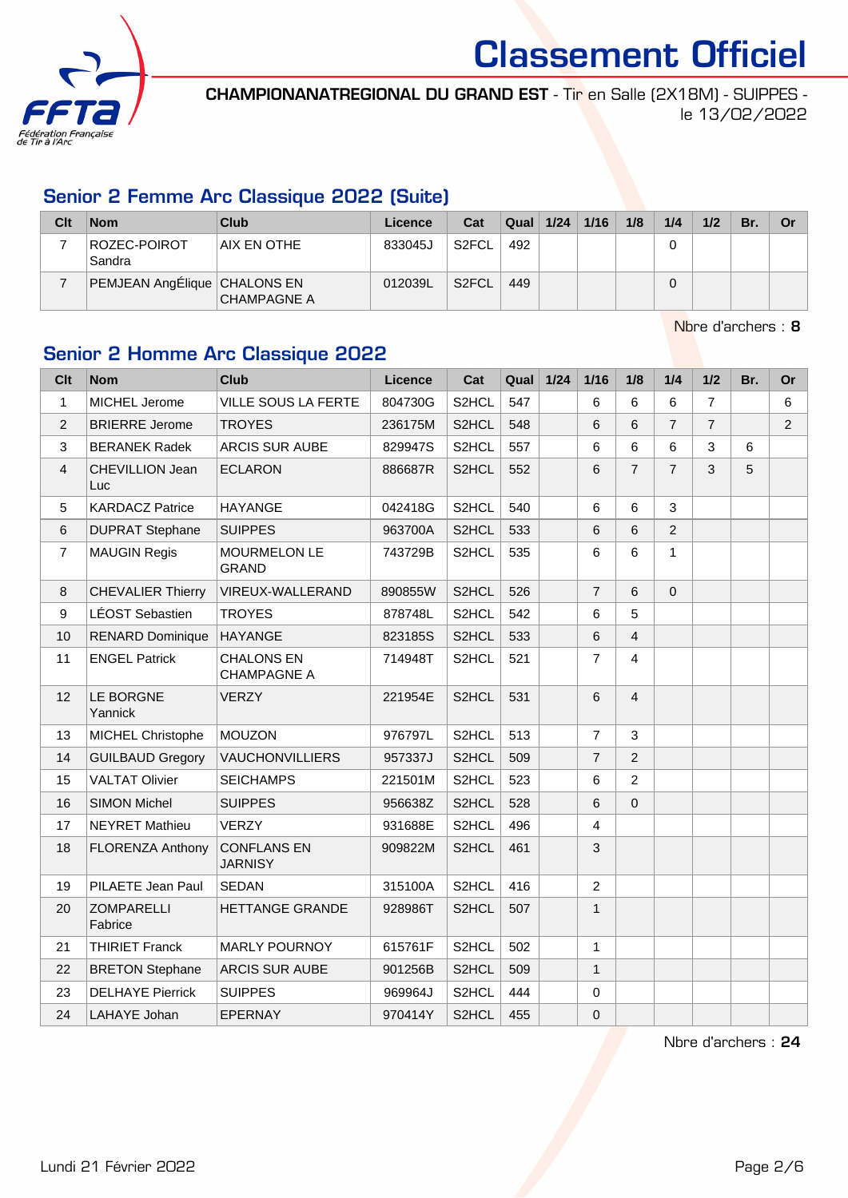

CHAMPIONANATREGIONAL DU GRAND EST - Tir en Salle (2X18M) - SUIPPES le 13/02/2022

#### Senior 2 Femme Arc Classique 2022 (Suite)

| Clt | <b>Nom</b>                   | Club               | Licence | Cat                | Qual | 1/24 | 1/16 | 1/8 | 1/4 | 1/2 | Br. | Or |
|-----|------------------------------|--------------------|---------|--------------------|------|------|------|-----|-----|-----|-----|----|
|     | ROZEC-POIROT<br>Sandra       | AIX EN OTHE        | 833045J | S <sub>2</sub> FCL | 492  |      |      |     |     |     |     |    |
|     | PEMJEAN AngÉlique CHALONS EN | <b>CHAMPAGNE A</b> | 012039L | S <sub>2</sub> FCL | 449  |      |      |     | 0   |     |     |    |

Nbre d'archers : 8

# Senior 2 Homme Arc Classique 2022

| <b>Clt</b>     | <b>Nom</b>                   | <b>Club</b>                             | Licence | Cat                | Qual | $1/24$ | 1/16           | 1/8            | 1/4            | 1/2            | Br. | Or             |
|----------------|------------------------------|-----------------------------------------|---------|--------------------|------|--------|----------------|----------------|----------------|----------------|-----|----------------|
| $\mathbf{1}$   | MICHEL Jerome                | VILLE SOUS LA FERTE                     | 804730G | S2HCL              | 547  |        | 6              | 6              | 6              | $\overline{7}$ |     | 6              |
| $\overline{2}$ | <b>BRIERRE Jerome</b>        | <b>TROYES</b>                           | 236175M | S <sub>2</sub> HCL | 548  |        | 6              | 6              | $\overline{7}$ | $\overline{7}$ |     | $\overline{2}$ |
| 3              | <b>BERANEK Radek</b>         | ARCIS SUR AUBE                          | 829947S | S2HCL              | 557  |        | $\,6\,$        | 6              | 6              | 3              | 6   |                |
| 4              | CHEVILLION Jean<br>Luc       | <b>ECLARON</b>                          | 886687R | S2HCL              | 552  |        | $6\phantom{a}$ | $\overline{7}$ | $\overline{7}$ | 3              | 5   |                |
| 5              | <b>KARDACZ Patrice</b>       | <b>HAYANGE</b>                          | 042418G | S2HCL              | 540  |        | 6              | 6              | 3              |                |     |                |
| 6              | <b>DUPRAT Stephane</b>       | <b>SUIPPES</b>                          | 963700A | S <sub>2</sub> HCL | 533  |        | 6              | 6              | $\overline{2}$ |                |     |                |
| $\overline{7}$ | <b>MAUGIN Regis</b>          | <b>MOURMELON LE</b><br><b>GRAND</b>     | 743729B | S2HCL              | 535  |        | $\,6\,$        | 6              | $\mathbf{1}$   |                |     |                |
| 8              | <b>CHEVALIER Thierry</b>     | VIREUX-WALLERAND                        | 890855W | S <sub>2</sub> HCL | 526  |        | $\overline{7}$ | 6              | $\mathbf 0$    |                |     |                |
| 9              | LÉOST Sebastien              | <b>TROYES</b>                           | 878748L | S2HCL              | 542  |        | 6              | 5              |                |                |     |                |
| 10             | <b>RENARD Dominique</b>      | <b>HAYANGE</b>                          | 823185S | S <sub>2</sub> HCL | 533  |        | $\,6$          | $\overline{4}$ |                |                |     |                |
| 11             | <b>ENGEL Patrick</b>         | <b>CHALONS EN</b><br><b>CHAMPAGNE A</b> | 714948T | S2HCL              | 521  |        | $\overline{7}$ | $\overline{4}$ |                |                |     |                |
| 12             | LE BORGNE<br>Yannick         | <b>VERZY</b>                            | 221954E | S <sub>2</sub> HCL | 531  |        | 6              | $\overline{4}$ |                |                |     |                |
| 13             | MICHEL Christophe            | <b>MOUZON</b>                           | 976797L | S2HCL              | 513  |        | $\overline{7}$ | $\mathbf{3}$   |                |                |     |                |
| 14             | <b>GUILBAUD Gregory</b>      | VAUCHONVILLIERS                         | 957337J | S2HCL              | 509  |        | $\overline{7}$ | 2              |                |                |     |                |
| 15             | <b>VALTAT Olivier</b>        | <b>SEICHAMPS</b>                        | 221501M | S2HCL              | 523  |        | 6              | $\overline{2}$ |                |                |     |                |
| 16             | <b>SIMON Michel</b>          | <b>SUIPPES</b>                          | 956638Z | S <sub>2</sub> HCL | 528  |        | $\,6$          | $\pmb{0}$      |                |                |     |                |
| 17             | <b>NEYRET Mathieu</b>        | <b>VERZY</b>                            | 931688E | S2HCL              | 496  |        | $\overline{4}$ |                |                |                |     |                |
| 18             | <b>FLORENZA Anthony</b>      | <b>CONFLANS EN</b><br><b>JARNISY</b>    | 909822M | S <sub>2</sub> HCL | 461  |        | 3              |                |                |                |     |                |
| 19             | PILAETE Jean Paul            | <b>SEDAN</b>                            | 315100A | S2HCL              | 416  |        | $\overline{2}$ |                |                |                |     |                |
| 20             | <b>ZOMPARELLI</b><br>Fabrice | <b>HETTANGE GRANDE</b>                  | 928986T | S <sub>2</sub> HCL | 507  |        | $\mathbf{1}$   |                |                |                |     |                |
| 21             | <b>THIRIET Franck</b>        | <b>MARLY POURNOY</b>                    | 615761F | S2HCL              | 502  |        | 1              |                |                |                |     |                |
| 22             | <b>BRETON Stephane</b>       | <b>ARCIS SUR AUBE</b>                   | 901256B | S <sub>2</sub> HCL | 509  |        | $\mathbf{1}$   |                |                |                |     |                |
| 23             | <b>DELHAYE Pierrick</b>      | <b>SUIPPES</b>                          | 969964J | S2HCL              | 444  |        | $\pmb{0}$      |                |                |                |     |                |
| 24             | LAHAYE Johan                 | EPERNAY                                 | 970414Y | S2HCL              | 455  |        | $\pmb{0}$      |                |                |                |     |                |

Nbre d'archers : 24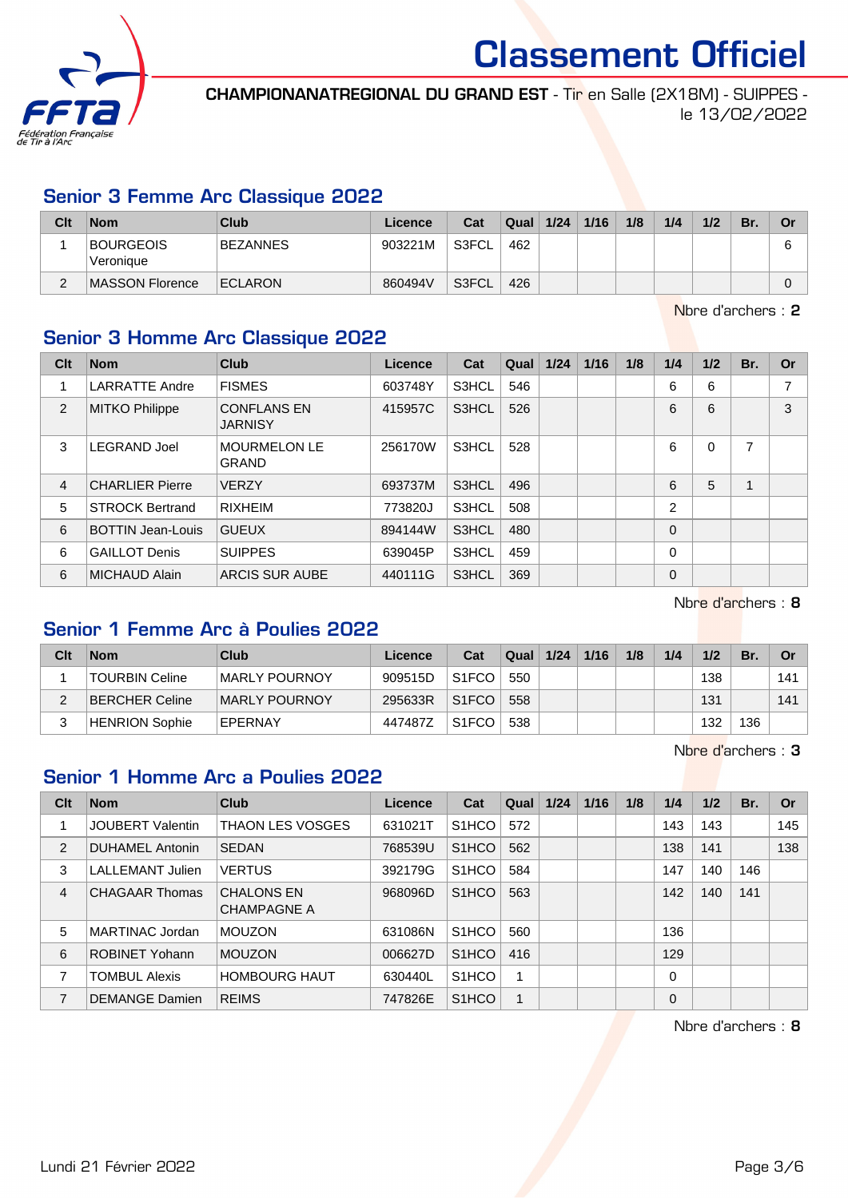

CHAMPIONANATREGIONAL DU GRAND EST - Tir en Salle (2X18M) - SUIPPES le 13/02/2022

#### Senior 3 Femme Arc Classique 2022

| Clt | <b>Nom</b>                    | Club            | Licence | Cat   | Qual | 1/24 | 1/16 | 1/8 | 1/4 | 1/2 | Br. | Or |
|-----|-------------------------------|-----------------|---------|-------|------|------|------|-----|-----|-----|-----|----|
|     | <b>BOURGEOIS</b><br>Veronique | <b>BEZANNES</b> | 903221M | S3FCL | 462  |      |      |     |     |     |     |    |
|     | MASSON Florence               | <b>ECLARON</b>  | 860494V | S3FCL | 426  |      |      |     |     |     |     |    |

Nbre d'archers : 2

## Senior 3 Homme Arc Classique 2022

| Clt | <b>Nom</b>               | <b>Club</b>                          | Licence | Cat   | Qual | 1/24 | 1/16 | 1/8 | 1/4         | 1/2      | Br. | <b>Or</b> |
|-----|--------------------------|--------------------------------------|---------|-------|------|------|------|-----|-------------|----------|-----|-----------|
|     | <b>LARRATTE Andre</b>    | <b>FISMES</b>                        | 603748Y | S3HCL | 546  |      |      |     | 6           | 6        |     | 7         |
| 2   | <b>MITKO Philippe</b>    | <b>CONFLANS EN</b><br><b>JARNISY</b> | 415957C | S3HCL | 526  |      |      |     | 6           | 6        |     | 3         |
| 3   | <b>LEGRAND Joel</b>      | <b>MOURMELON LE</b><br><b>GRAND</b>  | 256170W | S3HCL | 528  |      |      |     | 6           | $\Omega$ | 7   |           |
| 4   | <b>CHARLIER Pierre</b>   | <b>VERZY</b>                         | 693737M | S3HCL | 496  |      |      |     | 6           | 5        |     |           |
| 5   | <b>STROCK Bertrand</b>   | <b>RIXHEIM</b>                       | 773820J | S3HCL | 508  |      |      |     | 2           |          |     |           |
| 6   | <b>BOTTIN Jean-Louis</b> | <b>GUEUX</b>                         | 894144W | S3HCL | 480  |      |      |     | $\Omega$    |          |     |           |
| 6   | <b>GAILLOT Denis</b>     | <b>SUIPPES</b>                       | 639045P | S3HCL | 459  |      |      |     | 0           |          |     |           |
| 6   | <b>MICHAUD Alain</b>     | <b>ARCIS SUR AUBE</b>                | 440111G | S3HCL | 369  |      |      |     | $\mathbf 0$ |          |     |           |

Nbre d'archers : 8

#### Senior 1 Femme Arc à Poulies 2022

| Clt    | <b>Nom</b>            | Club                 | Licence | Cat                | Qual | 1/24 | 1/16 | 1/8 | 1/4 | 1/2 | Br. | Or  |
|--------|-----------------------|----------------------|---------|--------------------|------|------|------|-----|-----|-----|-----|-----|
|        | <b>TOURBIN Celine</b> | <b>MARLY POURNOY</b> | 909515D | S <sub>1</sub> FCO | 550  |      |      |     |     | 138 |     | 141 |
|        | BERCHER Celine        | MARLY POURNOY        | 295633R | S <sub>1</sub> FCO | 558  |      |      |     |     | 131 |     | 141 |
| 2<br>J | <b>HENRION Sophie</b> | EPERNAY              | 447487Z | S <sub>1</sub> FCO | 538  |      |      |     |     | 132 | 36  |     |

Nbre d'archers : 3

#### Senior 1 Homme Arc a Poulies 2022

| Clt            | <b>Nom</b>              | Club                                    | Licence | Cat                | Qual | 1/24 | 1/16 | 1/8 | 1/4      | 1/2 | Br. | <b>Or</b> |
|----------------|-------------------------|-----------------------------------------|---------|--------------------|------|------|------|-----|----------|-----|-----|-----------|
|                | <b>JOUBERT Valentin</b> | <b>THAON LES VOSGES</b>                 | 631021T | S <sub>1</sub> HCO | 572  |      |      |     | 143      | 143 |     | 145       |
| 2              | DUHAMEL Antonin         | SEDAN                                   | 768539U | S <sub>1</sub> HCO | 562  |      |      |     | 138      | 141 |     | 138       |
| 3              | <b>LALLEMANT Julien</b> | <b>VERTUS</b>                           | 392179G | S <sub>1</sub> HCO | 584  |      |      |     | 147      | 140 | 146 |           |
| $\overline{4}$ | <b>CHAGAAR Thomas</b>   | <b>CHALONS EN</b><br><b>CHAMPAGNE A</b> | 968096D | S <sub>1</sub> HCO | 563  |      |      |     | 142      | 140 | 141 |           |
| 5              | MARTINAC Jordan         | <b>MOUZON</b>                           | 631086N | S <sub>1</sub> HCO | 560  |      |      |     | 136      |     |     |           |
| 6              | <b>ROBINET Yohann</b>   | <b>MOUZON</b>                           | 006627D | S <sub>1</sub> HCO | 416  |      |      |     | 129      |     |     |           |
| 7              | <b>TOMBUL Alexis</b>    | <b>HOMBOURG HAUT</b>                    | 630440L | S <sub>1</sub> HCO | 1    |      |      |     | $\Omega$ |     |     |           |
| $\overline{7}$ | <b>DEMANGE Damien</b>   | <b>REIMS</b>                            | 747826E | S <sub>1</sub> HCO | 1    |      |      |     | $\Omega$ |     |     |           |

Nbre d'archers : 8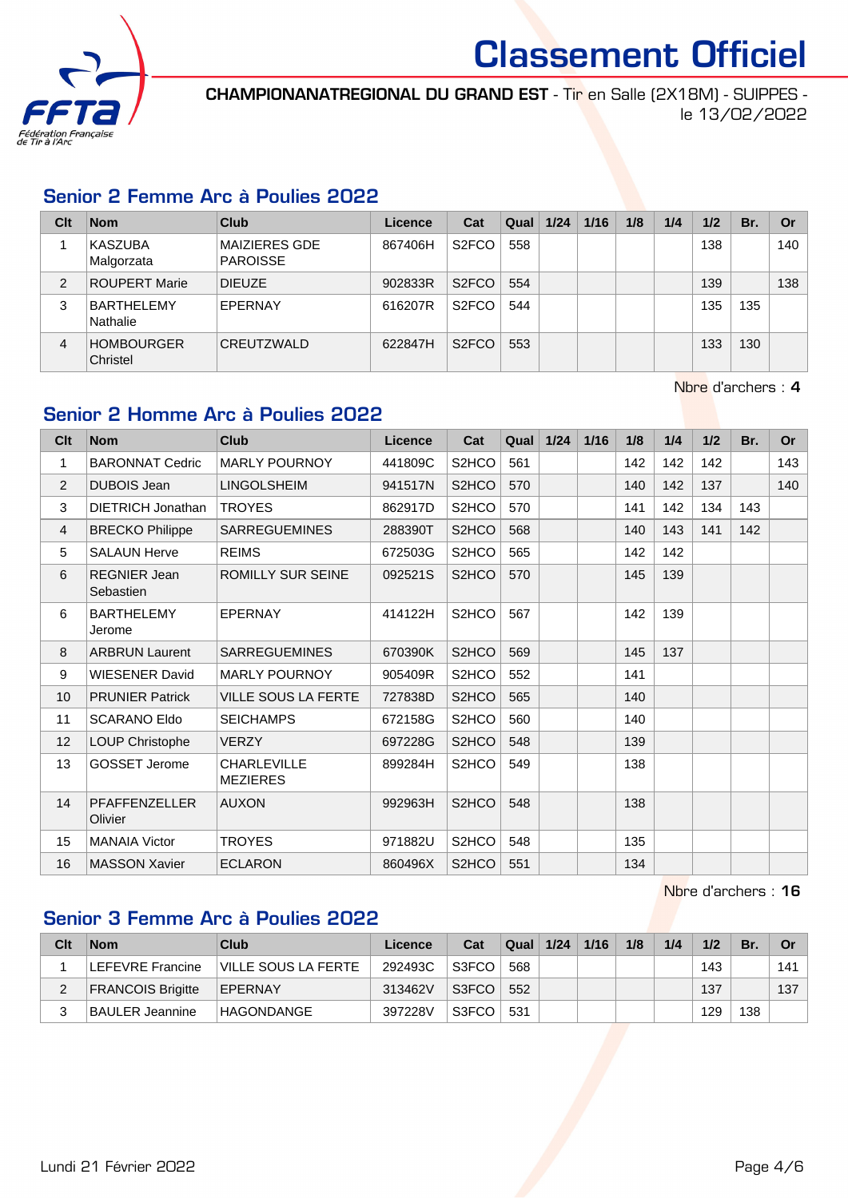

CHAMPIONANATREGIONAL DU GRAND EST - Tir en Salle (2X18M) - SUIPPES le 13/02/2022

#### Senior 2 Femme Arc à Poulies 2022

| Clt            | <b>Nom</b>                    | Club                                    | Licence | Cat                | Qual | 1/24 | 1/16 | 1/8 | 1/4 | 1/2 | Br. | Or  |
|----------------|-------------------------------|-----------------------------------------|---------|--------------------|------|------|------|-----|-----|-----|-----|-----|
|                | KASZUBA<br>Malgorzata         | <b>MAIZIERES GDE</b><br><b>PAROISSE</b> | 867406H | S <sub>2</sub> FCO | 558  |      |      |     |     | 138 |     | 140 |
| $\overline{2}$ | <b>ROUPERT Marie</b>          | <b>DIEUZE</b>                           | 902833R | S <sub>2</sub> FCO | 554  |      |      |     |     | 139 |     | 138 |
| 3              | <b>BARTHELEMY</b><br>Nathalie | EPERNAY                                 | 616207R | S <sub>2</sub> FCO | 544  |      |      |     |     | 135 | 135 |     |
| 4              | <b>HOMBOURGER</b><br>Christel | CREUTZWALD                              | 622847H | S <sub>2</sub> FCO | 553  |      |      |     |     | 133 | 130 |     |

Nbre d'archers : 4

## Senior 2 Homme Arc à Poulies 2022

| Clt | <b>Nom</b>                       | Club                                  | <b>Licence</b> | Cat                | Qual | 1/24 | 1/16 | 1/8 | 1/4 | 1/2 | Br. | <b>Or</b> |
|-----|----------------------------------|---------------------------------------|----------------|--------------------|------|------|------|-----|-----|-----|-----|-----------|
| 1   | <b>BARONNAT Cedric</b>           | <b>MARLY POURNOY</b>                  | 441809C        | S2HCO              | 561  |      |      | 142 | 142 | 142 |     | 143       |
| 2   | <b>DUBOIS Jean</b>               | <b>LINGOLSHEIM</b>                    | 941517N        | S2HCO              | 570  |      |      | 140 | 142 | 137 |     | 140       |
| 3   | <b>DIETRICH Jonathan</b>         | <b>TROYES</b>                         | 862917D        | S2HCO              | 570  |      |      | 141 | 142 | 134 | 143 |           |
| 4   | <b>BRECKO Philippe</b>           | <b>SARREGUEMINES</b>                  | 288390T        | S <sub>2</sub> HCO | 568  |      |      | 140 | 143 | 141 | 142 |           |
| 5   | <b>SALAUN Herve</b>              | <b>REIMS</b>                          | 672503G        | S2HCO              | 565  |      |      | 142 | 142 |     |     |           |
| 6   | <b>REGNIER Jean</b><br>Sebastien | <b>ROMILLY SUR SEINE</b>              | 092521S        | S2HCO              | 570  |      |      | 145 | 139 |     |     |           |
| 6   | <b>BARTHELEMY</b><br>Jerome      | <b>EPERNAY</b>                        | 414122H        | S <sub>2</sub> HCO | 567  |      |      | 142 | 139 |     |     |           |
| 8   | <b>ARBRUN Laurent</b>            | <b>SARREGUEMINES</b>                  | 670390K        | S2HCO              | 569  |      |      | 145 | 137 |     |     |           |
| 9   | <b>WIESENER David</b>            | <b>MARLY POURNOY</b>                  | 905409R        | S <sub>2</sub> HCO | 552  |      |      | 141 |     |     |     |           |
| 10  | <b>PRUNIER Patrick</b>           | <b>VILLE SOUS LA FERTE</b>            | 727838D        | S <sub>2</sub> HCO | 565  |      |      | 140 |     |     |     |           |
| 11  | <b>SCARANO Eldo</b>              | <b>SEICHAMPS</b>                      | 672158G        | S2HCO              | 560  |      |      | 140 |     |     |     |           |
| 12  | LOUP Christophe                  | <b>VERZY</b>                          | 697228G        | S2HCO              | 548  |      |      | 139 |     |     |     |           |
| 13  | <b>GOSSET Jerome</b>             | <b>CHARLEVILLE</b><br><b>MEZIERES</b> | 899284H        | S2HCO              | 549  |      |      | 138 |     |     |     |           |
| 14  | PFAFFENZELLER<br>Olivier         | <b>AUXON</b>                          | 992963H        | S2HCO              | 548  |      |      | 138 |     |     |     |           |
| 15  | <b>MANAIA Victor</b>             | <b>TROYES</b>                         | 971882U        | S2HCO              | 548  |      |      | 135 |     |     |     |           |
| 16  | <b>MASSON Xavier</b>             | <b>ECLARON</b>                        | 860496X        | S <sub>2</sub> HCO | 551  |      |      | 134 |     |     |     |           |

Nbre d'archers : 16

### Senior 3 Femme Arc à Poulies 2022

| Clt | <b>Nom</b>               | Club                | Licence | Cat   | Qual | 1/24 | 1/16 | 1/8 | 1/4 | 1/2 | Br. | Or  |
|-----|--------------------------|---------------------|---------|-------|------|------|------|-----|-----|-----|-----|-----|
|     | LEFEVRE Francine         | VILLE SOUS LA FERTE | 292493C | S3FCC | 568  |      |      |     |     | 143 |     | 141 |
|     | <b>FRANCOIS Brigitte</b> | EPERNAY             | 313462V | S3FCO | 552  |      |      |     |     | 137 |     | 137 |
|     | <b>BAULER Jeannine</b>   | HAGONDANGE          | 397228V | S3FCO | 531  |      |      |     |     | 129 | 138 |     |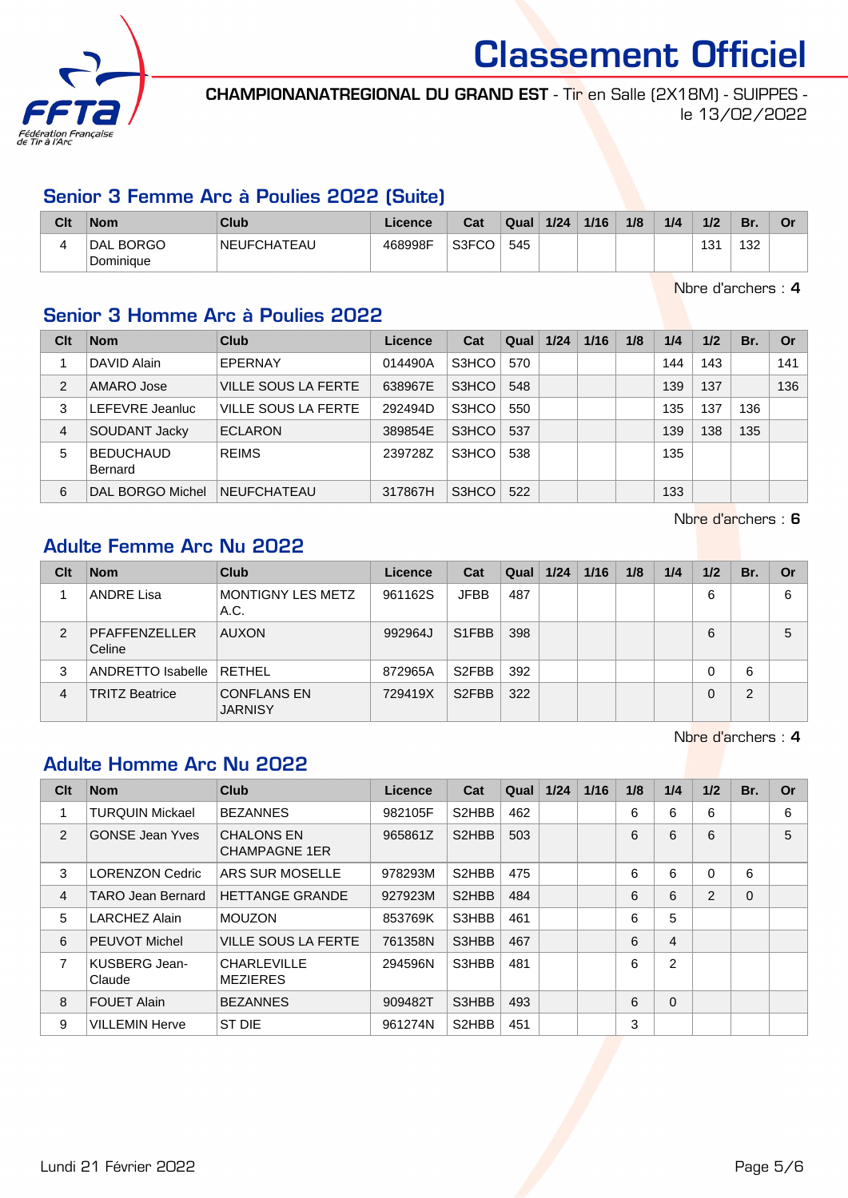

CHAMPIONANATREGIONAL DU GRAND EST - Tir en Salle (2X18M) - SUIPPES le 13/02/2022

#### Senior 3 Femme Arc à Poulies 2022 (Suite)

| Clt | <b>Nom</b>             | Club               | ∟icence | Cat   | Qual | 1/24 | 1/16 | 1/8 | 1/4 | 1/2          | Br. | nr |
|-----|------------------------|--------------------|---------|-------|------|------|------|-----|-----|--------------|-----|----|
|     | DAL BORGO<br>Dominique | <b>NEUFCHATEAU</b> | 468998F | S3FCC | 545  |      |      |     |     | 121<br>ا پ ا | 132 |    |

Nbre d'archers : 4

## Senior 3 Homme Arc à Poulies 2022

| Clt            | <b>Nom</b>                  | Club                       | <b>Licence</b> | Cat   | Qual | 1/24 | 1/16 | 1/8 | 1/4 | 1/2 | Br. | <b>Or</b> |
|----------------|-----------------------------|----------------------------|----------------|-------|------|------|------|-----|-----|-----|-----|-----------|
|                | DAVID Alain                 | EPERNAY                    | 014490A        | S3HCO | 570  |      |      |     | 144 | 143 |     | 141       |
| $\mathfrak{p}$ | AMARO Jose                  | <b>VILLE SOUS LA FERTE</b> | 638967E        | S3HCO | 548  |      |      |     | 139 | 137 |     | 136       |
| 3              | LEFEVRE Jeanluc             | VILLE SOUS LA FERTE        | 292494D        | S3HCO | 550  |      |      |     | 135 | 137 | 136 |           |
| 4              | SOUDANT Jacky               | <b>ECLARON</b>             | 389854E        | S3HCO | 537  |      |      |     | 139 | 138 | 135 |           |
| 5              | <b>BEDUCHAUD</b><br>Bernard | <b>REIMS</b>               | 239728Z        | S3HCO | 538  |      |      |     | 135 |     |     |           |
| 6              | DAL BORGO Michel            | <b>NEUFCHATEAU</b>         | 317867H        | S3HCO | 522  |      |      |     | 133 |     |     |           |

Nbre d'archers : 6

### Adulte Femme Arc Nu 2022

| Clt            | <b>Nom</b>              | Club                                 | Licence | Cat                | Qual | 1/24 | 1/16 | 1/8 | 1/4 | 1/2 | Br. | Or |
|----------------|-------------------------|--------------------------------------|---------|--------------------|------|------|------|-----|-----|-----|-----|----|
|                | <b>ANDRE Lisa</b>       | <b>MONTIGNY LES METZ</b><br>A.C.     | 961162S | <b>JFBB</b>        | 487  |      |      |     |     | 6   |     | 6  |
| $\overline{2}$ | PFAFFENZELLER<br>Celine | <b>AUXON</b>                         | 992964J | S1FBB              | 398  |      |      |     |     | 6   |     | 5  |
| 3              | ANDRETTO Isabelle       | <b>RETHEL</b>                        | 872965A | S <sub>2</sub> FBB | 392  |      |      |     |     | 0   | 6   |    |
| $\overline{4}$ | <b>TRITZ Beatrice</b>   | <b>CONFLANS EN</b><br><b>JARNISY</b> | 729419X | S <sub>2</sub> FBB | 322  |      |      |     |     | 0   | 2   |    |

Nbre d'archers : 4

# Adulte Homme Arc Nu 2022

| Clt            | <b>Nom</b>              | <b>Club</b>                               | Licence | Cat                | Qual | 1/24 | 1/16 | 1/8 | 1/4            | 1/2      | Br. | Or |
|----------------|-------------------------|-------------------------------------------|---------|--------------------|------|------|------|-----|----------------|----------|-----|----|
| 1              | <b>TURQUIN Mickael</b>  | <b>BEZANNES</b>                           | 982105F | S <sub>2</sub> HBB | 462  |      |      | 6   | 6              | 6        |     | 6  |
| 2              | <b>GONSE Jean Yves</b>  | <b>CHALONS EN</b><br><b>CHAMPAGNE 1ER</b> | 965861Z | S2HBB              | 503  |      |      | 6   | 6              | 6        |     | 5  |
| 3              | <b>LORENZON Cedric</b>  | ARS SUR MOSELLE                           | 978293M | S <sub>2</sub> HBB | 475  |      |      | 6   | 6              | $\Omega$ | 6   |    |
| 4              | TARO Jean Bernard       | <b>HETTANGE GRANDE</b>                    | 927923M | S <sub>2</sub> HBB | 484  |      |      | 6   | 6              | 2        | 0   |    |
| 5              | LARCHEZ Alain           | <b>MOUZON</b>                             | 853769K | S3HBB              | 461  |      |      | 6   | 5              |          |     |    |
| 6              | <b>PEUVOT Michel</b>    | <b>VILLE SOUS LA FERTE</b>                | 761358N | S3HBB              | 467  |      |      | 6   | $\overline{4}$ |          |     |    |
| $\overline{7}$ | KUSBERG Jean-<br>Claude | <b>CHARLEVILLE</b><br><b>MEZIERES</b>     | 294596N | S3HBB              | 481  |      |      | 6   | 2              |          |     |    |
| 8              | <b>FOUET Alain</b>      | <b>BEZANNES</b>                           | 909482T | S3HBB              | 493  |      |      | 6   | $\Omega$       |          |     |    |
| 9              | <b>VILLEMIN Herve</b>   | ST DIE                                    | 961274N | S <sub>2</sub> HBB | 451  |      |      | 3   |                |          |     |    |